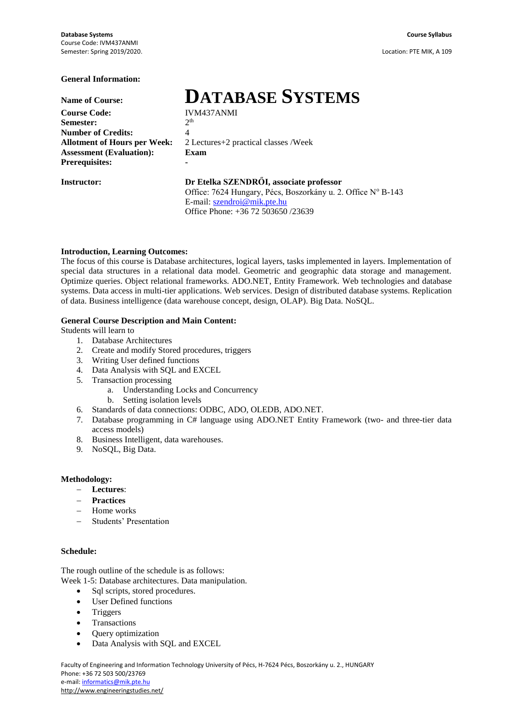# **General Information:**

**Course Code: Semester:** 2 **Number of Credits:** 4 **Allotment of Hours per Week:** 2 Lectures+2 practical classes /Week **Assessment (Evaluation): Exam Prerequisites: -**

Name of Course:<br>
Course Code:<br> **DATABASE SYSTEMS**  $2<sup>th</sup>$ 

# **Instructor: Dr Etelka SZENDRŐI, associate professor**

Office: 7624 Hungary, Pécs, Boszorkány u. 2. Office Nº B-143 E-mail: [szendroi@mik.pte.hu](mailto:szendroi@mik.pte.hu) Office Phone: +36 72 503650 /23639

# **Introduction, Learning Outcomes:**

The focus of this course is Database architectures, logical layers, tasks implemented in layers. Implementation of special data structures in a relational data model. Geometric and geographic data storage and management. Optimize queries. Object relational frameworks. ADO.NET, Entity Framework. Web technologies and database systems. Data access in multi-tier applications. Web services. Design of distributed database systems. Replication of data. Business intelligence (data warehouse concept, design, OLAP). Big Data. NoSQL.

# **General Course Description and Main Content:**

Students will learn to

- 1. Database Architectures
- 2. Create and modify Stored procedures, triggers
- 3. Writing User defined functions
- 4. Data Analysis with SQL and EXCEL
- 5. Transaction processing
	- a. Understanding Locks and Concurrency
	- b. Setting isolation levels
- 6. Standards of data connections: ODBC, ADO, OLEDB, ADO.NET.
- 7. Database programming in C# language using ADO.NET Entity Framework (two- and three-tier data access models)
- 8. Business Intelligent, data warehouses.
- 9. NoSQL, Big Data.

# **Methodology:**

- **Lectures**:
- **Practices**
- $-$  Home works
- Students' Presentation

## **Schedule:**

The rough outline of the schedule is as follows:

Week 1-5: Database architectures. Data manipulation.

- Sql scripts, stored procedures.
- User Defined functions
- Triggers
- Transactions
- Query optimization
- Data Analysis with SQL and EXCEL

Faculty of Engineering and Information Technology University of Pécs, H-7624 Pécs, Boszorkány u. 2., HUNGARY Phone: +36 72 503 500/23769 e-mail: [informatics@mik.pte.hu](mailto:informatics@mik.pte.hu) http://www.engineeringstudies.net/